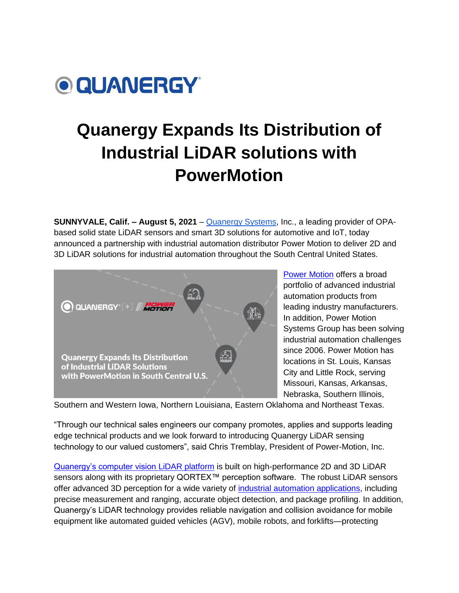

## **Quanergy Expands Its Distribution of Industrial LiDAR solutions with PowerMotion**

**SUNNYVALE, Calif. – August 5, 2021** [–](http://www.quanergy.com/) [Quanergy Systems,](http://www.quanergy.com/) Inc., a leading provider of OPAbased solid state LiDAR sensors and smart 3D solutions for automotive and IoT, today announced a partnership with industrial automation distributor [P](http://www.agia-tech.com/)ower Motion to deliver 2D and 3D LiDAR solutions for industrial automation throughout the South Central United States.



[Power Motion](http://www.powermotionsales.com/) offers a broad portfolio of advanced industrial automation products from leading industry manufacturers. In addition, Power Motion Systems Group has been solving industrial automation challenges since 2006. Power Motion has locations in St. Louis, Kansas City and Little Rock, serving Missouri, Kansas, Arkansas, Nebraska, Southern Illinois,

Southern and Western Iowa, Northern Louisiana, Eastern Oklahoma and Northeast Texas.

"Through our technical sales engineers our company promotes, applies and supports leading edge technical products and we look forward to introducing Quanergy LiDAR sensing technology to our valued customers", said Chris Tremblay, President of Power-Motion, Inc.

[Quanergy's computer vision](https://quanergy.com/products/) LiDAR platform is built on high-performance 2D and 3D LiDAR sensors along with its proprietary QORTEX™ perception software. The robust LiDAR sensors offer advanced 3D perception for a wide variety of [industrial automation applications,](https://quanergy.com/applications/industrial/) including precise measurement and ranging, accurate object detection, and package profiling. In addition, Quanergy's LiDAR technology provides reliable navigation and collision avoidance for mobile equipment like automated guided vehicles (AGV), mobile robots, and forklifts—protecting